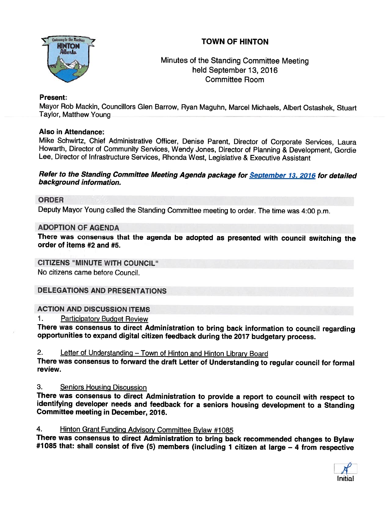# TOWN OF HINTON



# Minutes of the Standing Committee Meeting held September 13, 2016 Committee Room

## Present:

Mayor Rob Mackin, Councillors Glen Barrow, Ryan Maguhn, Marcel Michaels, Albert Ostashek, Stuart Taylor, Matthew Young

## Also in Attendance:

Mike Schwirtz, Chief Administrative Officer, Denise Parent, Director of Corporate Services, Laura Howarth, Director of Community Services, Wendy Jones, Director of Planning & Development, Gordie Lee, Director of Infrastructure Services, Rhonda West, Legislative & Executive Assistant

#### Refer to the Standing Committee Meeting Agenda package for September 13, 2016 for detailed background information.

### ORDER

Deputy Mayor Young called the Standing Committee meeting to order. The time was 4:00 p.m.

#### ADOPTION OF AGENDA

There was consensus that the agenda be adopted as presented with council switching the order of items #2 and #5.

## CITIZENS "MINUTE WITH COUNCIL"

No citizens came before Council.

## DELEGATIONS AND PRESENTATIONS

#### ACTION AND DISCUSSION ITEMS

1. Participatory Budget Review

There was consensus to direct Administration to bring back information to council regarding<br>opportunities to expand digital citizen feedback during the 2017 budgetary process.

2. Letter of Understanding - Town of Hinton and Hinton Library Board

There was consensus to forward the draft Letter of Understanding to regular council for formal review.

3. Seniors Housing Discussion<br>There was consensus to direct Administration to provide a report to council with respect to identifying developer needs and feedback for a seniors housing development to a Standing<br>Committee meeting in December, 2016.

4. Hinton Grant Funding Advisory Committee Bylaw #1085<br>There was consensus to direct Administration to bring back recommended changes to Bylaw #1085 that: shall consist of five (5) members (including 1 citizen at large – 4 from respective